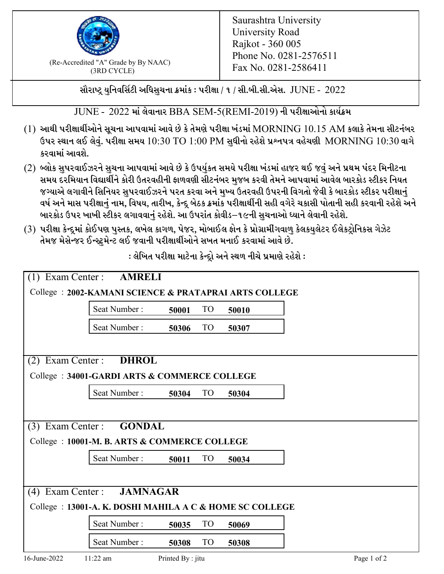

 $F_{\text{R}}$  (Re-Accredited "A" Grade by By NAAC)<br>(3PD CVCLE)<br> $F_{\text{R}}$  No. 0281-2586411 (3RD CYCLE)

સૌરાષ્ટ્ર યુનિવર્સિટી અધિસુચના ક્રમાંક : પરીક્ષા / ૧ / સી.બી.સી.એસ.  $\,$  JUNE -  $\,2022$ 

 $JUNE - 2022$  માં લેવાનાર BBA SEM-5(REMI-2019) ની પરીક્ષાઓનો કાર્યક્રમ

- $(1)$  આથી પરીક્ષાર્થીઓને સૂચના આપવામાં આવે છે કે તેમણે પરીક્ષા ખંડમાં  $\operatorname{MORNING}$   $10.15$   $\operatorname{AM}$  કલાકે તેમના સીટનંબર ઉપર સ્થાન લઈ લેવું. પરીક્ષા સમય  $10:30 \text{ TO } 1:00 \text{ PM}$  સુધીનો રહેશે પ્રશ્નપત્ર વહેચણી  $\text{MORNING } 10:30$  વાગે કરવામાં આવશે.
- (2) બ્લોક સુપરવાઈઝરને સુચના આપવામાં આવે છે કે ઉપર્યુકત સમયે પરીક્ષા ખંડમાં હાજર થઈ જવું અને પ્રથમ પંદર મિનીટના સમય દરમિયાન વિદ્યાર્થીને કોરી ઉતરવહીની ફાળવણી સીટનંબર મજબ કરવી તેમને આપવામાં આવેલ બારકોડ સ્ટીકર નિયત જગ્યાએ લગાવીને સિનિયર સુપરવાઈઝરને પરત કરવા અને મુખ્ય ઉતરવહી ઉપરની વિગતો જેવી કે બારકોડ સ્ટીકર પરીક્ષ<u>ાન</u>ં વર્ષ અને માસ પરીક્ષાનું નામ, વિષય, તારીખ, કેન્દ્ર બેઠક ક્રમાંક પરીક્ષાર્થીની સહી વગેરે ચકાસી પોતાની સહી કરવાની રહેશે અને બારકોડ ઉપર ખાખી સ્ટીકર લગાવવાનં રહેશે. આ ઉપરાંત કોવીડ–૧૯ની સચનાઓ ધ્યાને લેવાની રહેશે.
- (3) પરીક્ષા કેન્દ્રમાં કોઈપણ પુસ્તક, લખેલ કાગળ, પેજર, મોબાઈલ ફોન કે પ્રોગ્રામીંગવાળુ કેલકયુલેટર ઈલેકટ્રોનિકસ ગેઝેટ તેમજ મેસેન્જર ઈન્સ્ટમેન્ટ લઈ જવાની પરીક્ષાર્થીઓને સખત મનાઈ કરવામાં આવે છે.

| $(1)$ Exam Center :                                      | <b>AMRELI</b> |                   |                 |       |             |  |  |  |
|----------------------------------------------------------|---------------|-------------------|-----------------|-------|-------------|--|--|--|
| College: 2002-KAMANI SCIENCE & PRATAPRAI ARTS COLLEGE    |               |                   |                 |       |             |  |  |  |
|                                                          | Seat Number:  | 50001             | <b>TO</b>       | 50010 |             |  |  |  |
|                                                          | Seat Number:  | 50306             | <b>TO</b>       | 50307 |             |  |  |  |
|                                                          |               |                   |                 |       |             |  |  |  |
| Exam Center :<br><b>DHROL</b><br>(2)                     |               |                   |                 |       |             |  |  |  |
| College: 34001-GARDI ARTS & COMMERCE COLLEGE             |               |                   |                 |       |             |  |  |  |
|                                                          | Seat Number:  | 50304             | <b>TO</b>       | 50304 |             |  |  |  |
|                                                          |               |                   |                 |       |             |  |  |  |
| (3) Exam Center : <b>GONDAL</b>                          |               |                   |                 |       |             |  |  |  |
| College : 10001-M. B. ARTS & COMMERCE COLLEGE            |               |                   |                 |       |             |  |  |  |
|                                                          | Seat Number:  | 50011             | TO <sub>1</sub> | 50034 |             |  |  |  |
|                                                          |               |                   |                 |       |             |  |  |  |
| Exam Center:<br><b>JAMNAGAR</b><br>(4)                   |               |                   |                 |       |             |  |  |  |
| College : 13001-A. K. DOSHI MAHILA A C & HOME SC COLLEGE |               |                   |                 |       |             |  |  |  |
|                                                          | Seat Number:  | 50035             | <b>TO</b>       | 50069 |             |  |  |  |
|                                                          | Seat Number:  | 50308             | <b>TO</b>       | 50308 |             |  |  |  |
| 16-June-2022                                             | $11:22$ am    | Printed By : jitu |                 |       | Page 1 of 2 |  |  |  |

: લેખિત પરીક્ષા માટેના કેન્દ્રો અને સ્થળ નીચે પ્રમાણે રહેશે :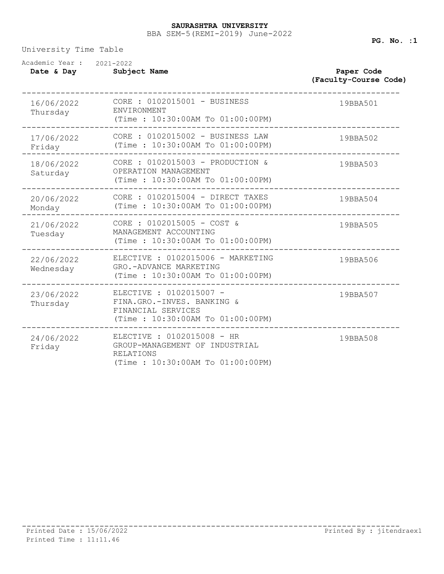## BBA SEM-5(REMI-2019) June-2022 **SAURASHTRA UNIVERSITY**

University Time Table

| Academic Year: 2021-2022<br>Date & Day | Subject Name                                                                                                    | Paper Code<br>(Faculty-Course Code) |  |
|----------------------------------------|-----------------------------------------------------------------------------------------------------------------|-------------------------------------|--|
| 16/06/2022<br>Thursday                 | CORE : 0102015001 - BUSINESS<br>ENVIRONMENT<br>(Time : 10:30:00AM To 01:00:00PM)                                | 19BBA501                            |  |
| 17/06/2022<br>Friday                   | CORE : 0102015002 - BUSINESS LAW<br>(Time: 10:30:00AM To 01:00:00PM)                                            | 19BBA502                            |  |
| 18/06/2022<br>Saturday                 | CORE : 0102015003 - PRODUCTION &<br>OPERATION MANAGEMENT<br>(Time: 10:30:00AM To 01:00:00PM)                    | 19BBA503                            |  |
| 20/06/2022<br>Monday                   | CORE : 0102015004 - DIRECT TAXES<br>(Time : 10:30:00AM To 01:00:00PM)                                           | 19BBA504                            |  |
| 21/06/2022<br>Tuesday                  | CORE : $0102015005 - COST &$<br>MANAGEMENT ACCOUNTING<br>(Time: 10:30:00AM To 01:00:00PM)                       | 19BBA505                            |  |
| 22/06/2022<br>Wednesday                | ELECTIVE : 0102015006 - MARKETING<br>GRO.-ADVANCE MARKETING<br>(Time: 10:30:00AM To 01:00:00PM)                 | 19BBA506                            |  |
| 23/06/2022<br>Thursday                 | ELECTIVE : 0102015007 -<br>FINA.GRO.-INVES. BANKING &<br>FINANCIAL SERVICES<br>(Time: 10:30:00AM To 01:00:00PM) | 19BBA507                            |  |
| 24/06/2022<br>Friday                   | ELECTIVE : 0102015008 - HR<br>GROUP-MANAGEMENT OF INDUSTRIAL<br>RELATIONS<br>(Time : 10:30:00AM To 01:00:00PM)  | 19BBA508                            |  |

**PG. No. :1**